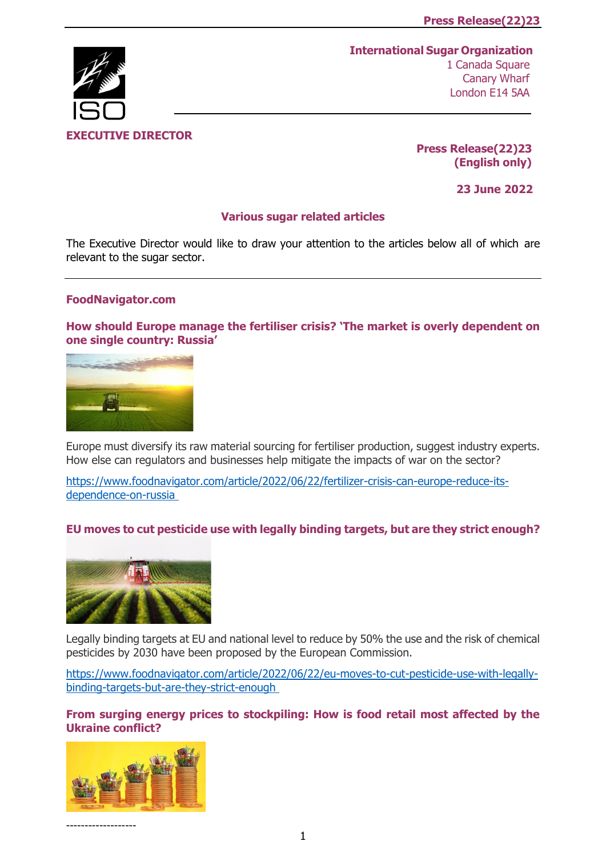# **EXECUTIVE DIRECTOR**

**International Sugar Organization** 1 Canada Square Canary Wharf London E14 5AA

> **Press Release(22)23 (English only)**

> > **23 June 2022**

# **Various sugar related articles**

The Executive Director would like to draw your attention to the articles below all of which are relevant to the sugar sector.

## **FoodNavigator.com**

**[How should Europe manage the fertiliser crisis? 'The market is overly de](https://www.foodnavigator.com/Article/2022/06/22/fertilizer-crisis-can-europe-reduce-its-dependence-on-russia?utm_source=copyright&utm_medium=OnSite&utm_campaign=copyright)pendent on [one single country: Russia'](https://www.foodnavigator.com/Article/2022/06/22/fertilizer-crisis-can-europe-reduce-its-dependence-on-russia?utm_source=copyright&utm_medium=OnSite&utm_campaign=copyright)**



Europe must diversify its raw material sourcing for fertiliser production, suggest industry experts. How else can regulators and businesses help mitigate the impacts of war on the sector?

[https://www.foodnavigator.com/article/2022/06/22/fertilizer-crisis-can-europe-reduce-its](https://www.foodnavigator.com/Article/2022/06/22/fertilizer-crisis-can-europe-reduce-its-dependence-on-russia?utm_source=copyright&utm_medium=OnSite&utm_campaign=copyright)[dependence-on-russia](https://www.foodnavigator.com/Article/2022/06/22/fertilizer-crisis-can-europe-reduce-its-dependence-on-russia?utm_source=copyright&utm_medium=OnSite&utm_campaign=copyright)

# **[EU moves to cut pesticide use with legally binding targets, but are they strict enough?](https://www.foodnavigator.com/Article/2022/06/22/eu-moves-to-cut-pesticide-use-with-legally-binding-targets-but-are-they-strict-enough?utm_source=copyright&utm_medium=OnSite&utm_campaign=copyright)**



Legally binding targets at EU and national level to reduce by 50% the use and the risk of chemical pesticides by 2030 have been proposed by the European Commission.

[https://www.foodnavigator.com/article/2022/06/22/eu-moves-to-cut-pesticide-use-with-legally](https://www.foodnavigator.com/Article/2022/06/22/eu-moves-to-cut-pesticide-use-with-legally-binding-targets-but-are-they-strict-enough?utm_source=copyright&utm_medium=OnSite&utm_campaign=copyright)[binding-targets-but-are-they-strict-enough](https://www.foodnavigator.com/Article/2022/06/22/eu-moves-to-cut-pesticide-use-with-legally-binding-targets-but-are-they-strict-enough?utm_source=copyright&utm_medium=OnSite&utm_campaign=copyright)

**[From surging energy prices to stockpiling: How is food retail most affected by the](https://www.foodnavigator.com/Article/2022/06/17/how-is-the-ukraine-russia-conflict-impacting-the-food-retail-sector?utm_source=copyright&utm_medium=OnSite&utm_campaign=copyright)  [Ukraine conflict?](https://www.foodnavigator.com/Article/2022/06/17/how-is-the-ukraine-russia-conflict-impacting-the-food-retail-sector?utm_source=copyright&utm_medium=OnSite&utm_campaign=copyright)**

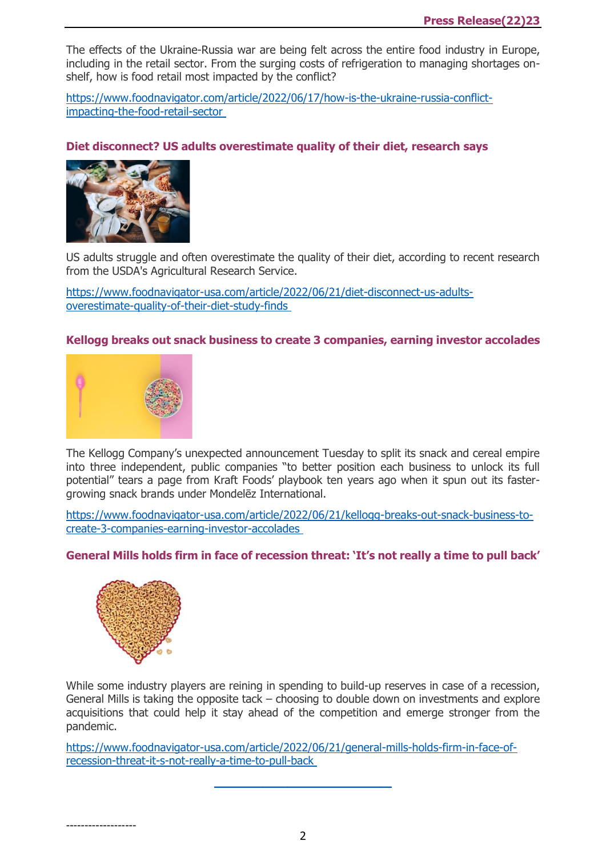The effects of the Ukraine-Russia war are being felt across the entire food industry in Europe, including in the retail sector. From the surging costs of refrigeration to managing shortages onshelf, how is food retail most impacted by the conflict?

[https://www.foodnavigator.com/article/2022/06/17/how-is-the-ukraine-russia-conflict](https://www.foodnavigator.com/Article/2022/06/17/how-is-the-ukraine-russia-conflict-impacting-the-food-retail-sector?utm_source=copyright&utm_medium=OnSite&utm_campaign=copyright)[impacting-the-food-retail-sector](https://www.foodnavigator.com/Article/2022/06/17/how-is-the-ukraine-russia-conflict-impacting-the-food-retail-sector?utm_source=copyright&utm_medium=OnSite&utm_campaign=copyright)

# **[Diet disconnect? US adults overestimate quality of their](https://www.foodnavigator-usa.com/Article/2022/06/21/diet-disconnect-us-adults-overestimate-quality-of-their-diet-study-finds?utm_source=copyright&utm_medium=OnSite&utm_campaign=copyright) diet, research says**



US adults struggle and often overestimate the quality of their diet, according to recent research from the USDA's Agricultural Research Service.

[https://www.foodnavigator-usa.com/article/2022/06/21/diet-disconnect-us-adults](https://www.foodnavigator-usa.com/Article/2022/06/21/diet-disconnect-us-adults-overestimate-quality-of-their-diet-study-finds?utm_source=copyright&utm_medium=OnSite&utm_campaign=copyright)[overestimate-quality-of-their-diet-study-finds](https://www.foodnavigator-usa.com/Article/2022/06/21/diet-disconnect-us-adults-overestimate-quality-of-their-diet-study-finds?utm_source=copyright&utm_medium=OnSite&utm_campaign=copyright)

# **[Kellogg breaks out snack business to create 3 companies, earning investor accolades](https://www.foodnavigator-usa.com/Article/2022/06/21/Kellogg-breaks-out-snack-business-to-create-3-companies-earning-investor-accolades?utm_source=copyright&utm_medium=OnSite&utm_campaign=copyright)**



The Kellogg Company's unexpected announcement Tuesday to split its snack and cereal empire into three independent, public companies "to better position each business to unlock its full potential" tears a page from Kraft Foods' playbook ten years ago when it spun out its fastergrowing snack brands under Mondelēz International.

[https://www.foodnavigator-usa.com/article/2022/06/21/kellogg-breaks-out-snack-business-to](https://www.foodnavigator-usa.com/Article/2022/06/21/Kellogg-breaks-out-snack-business-to-create-3-companies-earning-investor-accolades?utm_source=copyright&utm_medium=OnSite&utm_campaign=copyright)[create-3-companies-earning-investor-accolades](https://www.foodnavigator-usa.com/Article/2022/06/21/Kellogg-breaks-out-snack-business-to-create-3-companies-earning-investor-accolades?utm_source=copyright&utm_medium=OnSite&utm_campaign=copyright)

## **[General Mills holds firm in face of recession threat: 'It's not really a time to pull back'](https://www.foodnavigator-usa.com/Article/2022/06/21/General-Mills-holds-firm-in-face-of-recession-threat-It-s-not-really-a-time-to-pull-back?utm_source=copyright&utm_medium=OnSite&utm_campaign=copyright)**



-------------------

While some industry players are reining in spending to build-up reserves in case of a recession, General Mills is taking the opposite tack – choosing to double down on investments and explore acquisitions that could help it stay ahead of the competition and emerge stronger from the pandemic.

[https://www.foodnavigator-usa.com/article/2022/06/21/general-mills-holds-firm-in-face-of](https://www.foodnavigator-usa.com/Article/2022/06/21/General-Mills-holds-firm-in-face-of-recession-threat-It-s-not-really-a-time-to-pull-back?utm_source=copyright&utm_medium=OnSite&utm_campaign=copyright)[recession-threat-it-s-not-really-a-time-to-pull-back](https://www.foodnavigator-usa.com/Article/2022/06/21/General-Mills-holds-firm-in-face-of-recession-threat-It-s-not-really-a-time-to-pull-back?utm_source=copyright&utm_medium=OnSite&utm_campaign=copyright)

2

\_\_\_\_\_\_\_\_\_\_\_\_\_\_\_\_\_\_\_\_\_\_\_\_\_\_\_\_\_